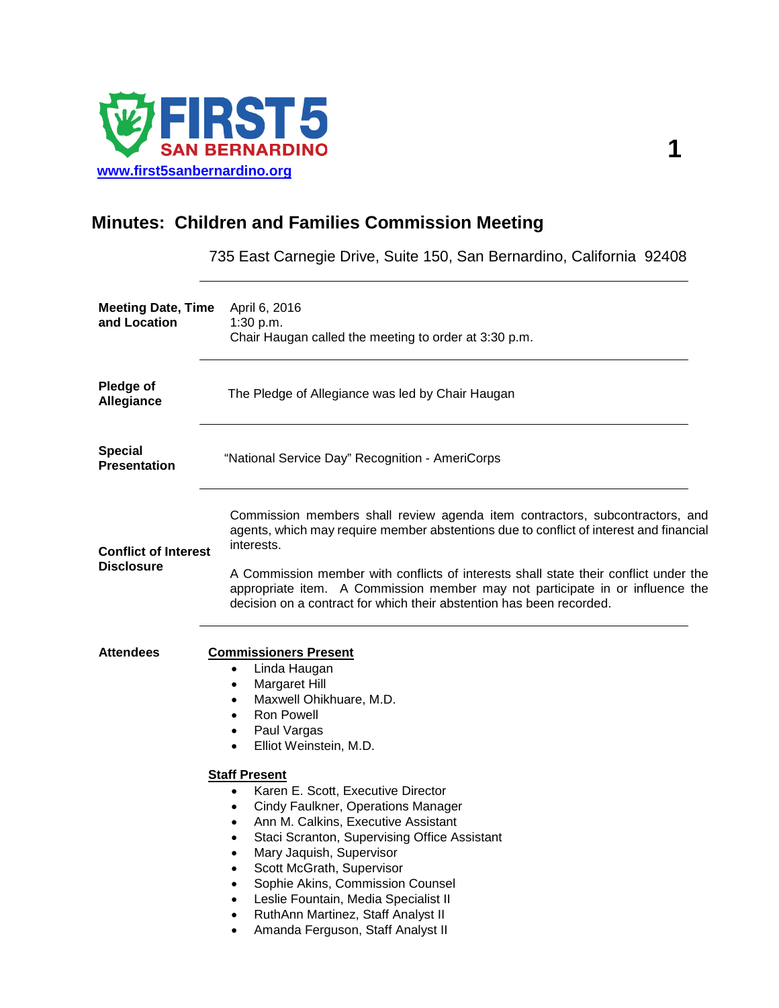

## **Minutes: Children and Families Commission Meeting**

735 East Carnegie Drive, Suite 150, San Bernardino, California 92408

| April 6, 2016<br>1:30 p.m.<br>Chair Haugan called the meeting to order at 3:30 p.m.                                                                                                                                                                                                                                                                                                                                                                                                                                                                                                                                                                                                                                                                               |
|-------------------------------------------------------------------------------------------------------------------------------------------------------------------------------------------------------------------------------------------------------------------------------------------------------------------------------------------------------------------------------------------------------------------------------------------------------------------------------------------------------------------------------------------------------------------------------------------------------------------------------------------------------------------------------------------------------------------------------------------------------------------|
| The Pledge of Allegiance was led by Chair Haugan                                                                                                                                                                                                                                                                                                                                                                                                                                                                                                                                                                                                                                                                                                                  |
| "National Service Day" Recognition - AmeriCorps                                                                                                                                                                                                                                                                                                                                                                                                                                                                                                                                                                                                                                                                                                                   |
| Commission members shall review agenda item contractors, subcontractors, and<br>agents, which may require member abstentions due to conflict of interest and financial<br>interests.                                                                                                                                                                                                                                                                                                                                                                                                                                                                                                                                                                              |
| A Commission member with conflicts of interests shall state their conflict under the<br>appropriate item. A Commission member may not participate in or influence the<br>decision on a contract for which their abstention has been recorded.                                                                                                                                                                                                                                                                                                                                                                                                                                                                                                                     |
| <b>Commissioners Present</b><br>Linda Haugan<br>$\bullet$<br>Margaret Hill<br>$\bullet$<br>Maxwell Ohikhuare, M.D.<br>$\bullet$<br><b>Ron Powell</b><br>$\bullet$<br>Paul Vargas<br>$\bullet$<br>Elliot Weinstein, M.D.<br>$\bullet$<br><b>Staff Present</b><br>Karen E. Scott, Executive Director<br>$\bullet$<br>Cindy Faulkner, Operations Manager<br>$\bullet$<br>Ann M. Calkins, Executive Assistant<br>$\bullet$<br>Staci Scranton, Supervising Office Assistant<br>$\bullet$<br>Mary Jaquish, Supervisor<br>$\bullet$<br>Scott McGrath, Supervisor<br>٠<br>Sophie Akins, Commission Counsel<br>$\bullet$<br>Leslie Fountain, Media Specialist II<br>$\bullet$<br>RuthAnn Martinez, Staff Analyst II<br>٠<br>Amanda Ferguson, Staff Analyst II<br>$\bullet$ |
|                                                                                                                                                                                                                                                                                                                                                                                                                                                                                                                                                                                                                                                                                                                                                                   |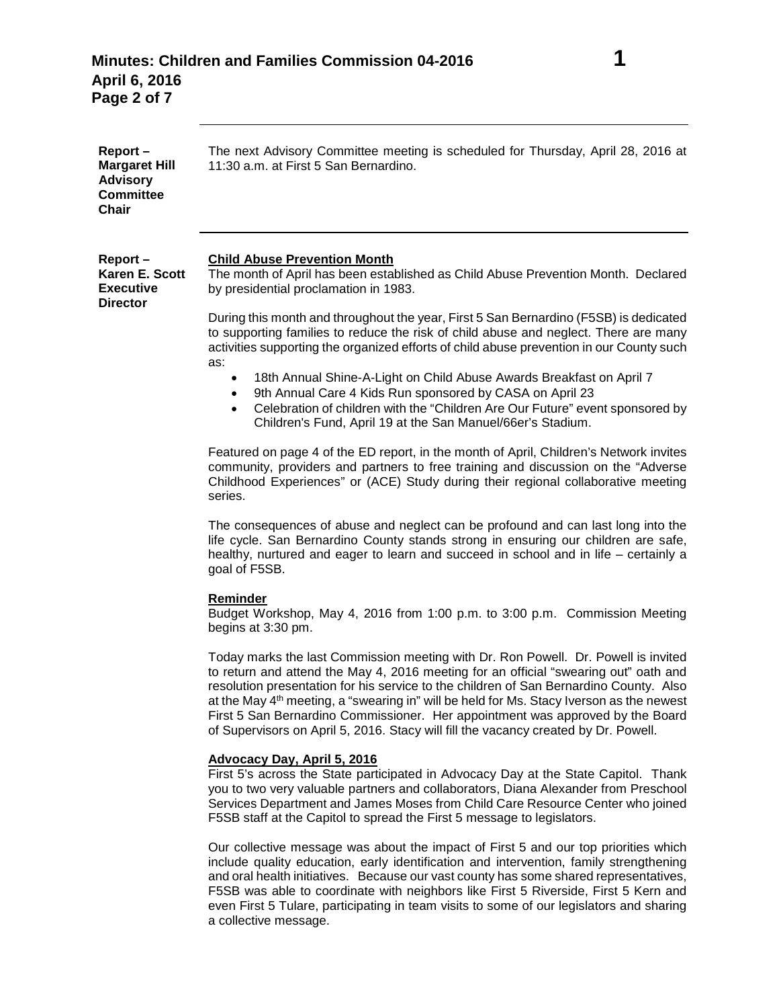| Report-<br><b>Margaret Hill</b><br><b>Advisory</b><br><b>Committee</b><br>Chair | The next Advisory Committee meeting is scheduled for Thursday, April 28, 2016 at<br>11:30 a.m. at First 5 San Bernardino.                                                                                                                                                                                                                                                                                                                                                                                                                             |
|---------------------------------------------------------------------------------|-------------------------------------------------------------------------------------------------------------------------------------------------------------------------------------------------------------------------------------------------------------------------------------------------------------------------------------------------------------------------------------------------------------------------------------------------------------------------------------------------------------------------------------------------------|
| Report-<br>Karen E. Scott<br><b>Executive</b><br><b>Director</b>                | <b>Child Abuse Prevention Month</b><br>The month of April has been established as Child Abuse Prevention Month. Declared<br>by presidential proclamation in 1983.                                                                                                                                                                                                                                                                                                                                                                                     |
|                                                                                 | During this month and throughout the year, First 5 San Bernardino (F5SB) is dedicated<br>to supporting families to reduce the risk of child abuse and neglect. There are many<br>activities supporting the organized efforts of child abuse prevention in our County such                                                                                                                                                                                                                                                                             |
|                                                                                 | as:<br>18th Annual Shine-A-Light on Child Abuse Awards Breakfast on April 7<br>٠<br>9th Annual Care 4 Kids Run sponsored by CASA on April 23<br>Celebration of children with the "Children Are Our Future" event sponsored by<br>Children's Fund, April 19 at the San Manuel/66er's Stadium.                                                                                                                                                                                                                                                          |
|                                                                                 | Featured on page 4 of the ED report, in the month of April, Children's Network invites<br>community, providers and partners to free training and discussion on the "Adverse"<br>Childhood Experiences" or (ACE) Study during their regional collaborative meeting<br>series.                                                                                                                                                                                                                                                                          |
|                                                                                 | The consequences of abuse and neglect can be profound and can last long into the<br>life cycle. San Bernardino County stands strong in ensuring our children are safe,<br>healthy, nurtured and eager to learn and succeed in school and in life - certainly a<br>goal of F5SB.                                                                                                                                                                                                                                                                       |
|                                                                                 | Reminder<br>Budget Workshop, May 4, 2016 from 1:00 p.m. to 3:00 p.m. Commission Meeting<br>begins at 3:30 pm.                                                                                                                                                                                                                                                                                                                                                                                                                                         |
|                                                                                 | Today marks the last Commission meeting with Dr. Ron Powell. Dr. Powell is invited<br>to return and attend the May 4, 2016 meeting for an official "swearing out" oath and<br>resolution presentation for his service to the children of San Bernardino County. Also<br>at the May 4 <sup>th</sup> meeting, a "swearing in" will be held for Ms. Stacy Iverson as the newest<br>First 5 San Bernardino Commissioner. Her appointment was approved by the Board<br>of Supervisors on April 5, 2016. Stacy will fill the vacancy created by Dr. Powell. |
|                                                                                 | <b>Advocacy Day, April 5, 2016</b><br>First 5's across the State participated in Advocacy Day at the State Capitol. Thank<br>you to two very valuable partners and collaborators, Diana Alexander from Preschool<br>Services Department and James Moses from Child Care Resource Center who joined<br>F5SB staff at the Capitol to spread the First 5 message to legislators.                                                                                                                                                                         |
|                                                                                 | Our collective message was about the impact of First 5 and our top priorities which<br>include quality education, early identification and intervention, family strengthening                                                                                                                                                                                                                                                                                                                                                                         |

include quality education, early identification and intervention, family strengthening and oral health initiatives. Because our vast county has some shared representatives, F5SB was able to coordinate with neighbors like First 5 Riverside, First 5 Kern and even First 5 Tulare, participating in team visits to some of our legislators and sharing a collective message.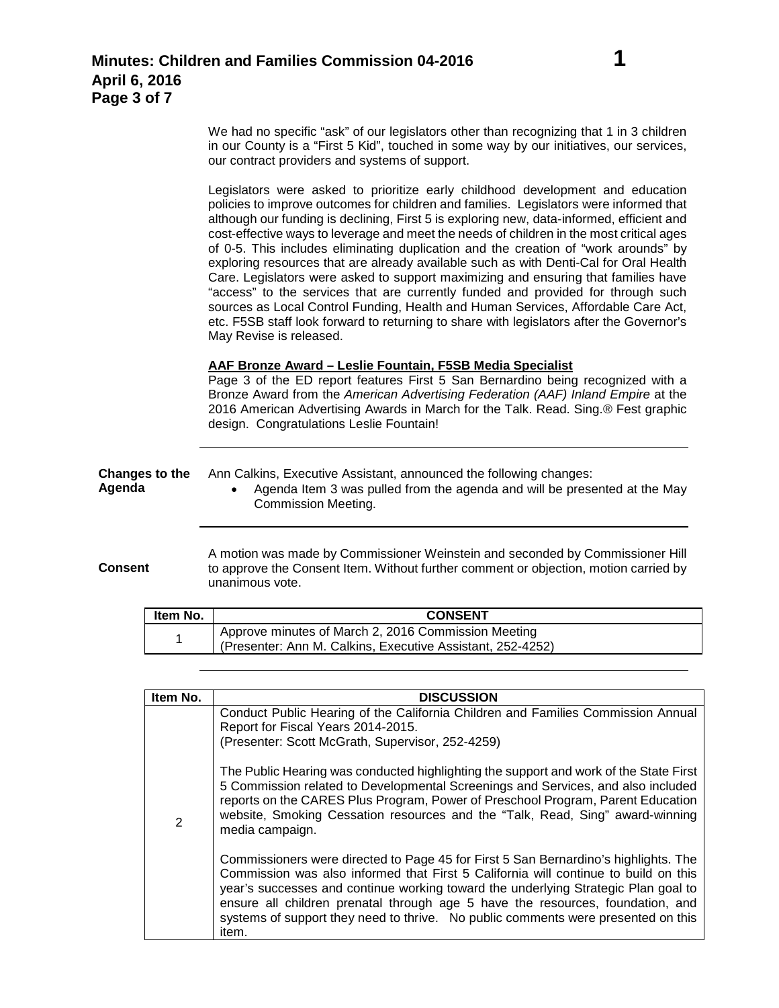**Consent**

Legislators were asked to prioritize early childhood development and education policies to improve outcomes for children and families. Legislators were informed that although our funding is declining, First 5 is exploring new, data-informed, efficient and cost-effective ways to leverage and meet the needs of children in the most critical ages of 0-5. This includes eliminating duplication and the creation of "work arounds" by exploring resources that are already available such as with Denti-Cal for Oral Health Care. Legislators were asked to support maximizing and ensuring that families have "access" to the services that are currently funded and provided for through such sources as Local Control Funding, Health and Human Services, Affordable Care Act, etc. F5SB staff look forward to returning to share with legislators after the Governor's May Revise is released.

## **AAF Bronze Award – Leslie Fountain, F5SB Media Specialist**

Page 3 of the ED report features First 5 San Bernardino being recognized with a Bronze Award from the *American Advertising Federation (AAF) Inland Empire* at the 2016 American Advertising Awards in March for the Talk. Read. Sing.® Fest graphic design. Congratulations Leslie Fountain!

| Changes to the | Ann Calkins, Executive Assistant, announced the following changes:                               |
|----------------|--------------------------------------------------------------------------------------------------|
| Agenda         | Agenda Item 3 was pulled from the agenda and will be presented at the May<br>Commission Meeting. |

A motion was made by Commissioner Weinstein and seconded by Commissioner Hill to approve the Consent Item. Without further comment or objection, motion carried by unanimous vote.

| Item No. | <b>CONSENT</b>                                             |
|----------|------------------------------------------------------------|
|          | Approve minutes of March 2, 2016 Commission Meeting        |
|          | (Presenter: Ann M. Calkins, Executive Assistant, 252-4252) |

| Item No. | <b>DISCUSSION</b>                                                                                                                                                                                                                                                                                                                                                                                                                                |
|----------|--------------------------------------------------------------------------------------------------------------------------------------------------------------------------------------------------------------------------------------------------------------------------------------------------------------------------------------------------------------------------------------------------------------------------------------------------|
|          | Conduct Public Hearing of the California Children and Families Commission Annual<br>Report for Fiscal Years 2014-2015.<br>(Presenter: Scott McGrath, Supervisor, 252-4259)                                                                                                                                                                                                                                                                       |
| 2        | The Public Hearing was conducted highlighting the support and work of the State First<br>5 Commission related to Developmental Screenings and Services, and also included<br>reports on the CARES Plus Program, Power of Preschool Program, Parent Education<br>website, Smoking Cessation resources and the "Talk, Read, Sing" award-winning<br>media campaign.                                                                                 |
|          | Commissioners were directed to Page 45 for First 5 San Bernardino's highlights. The<br>Commission was also informed that First 5 California will continue to build on this<br>year's successes and continue working toward the underlying Strategic Plan goal to<br>ensure all children prenatal through age 5 have the resources, foundation, and<br>systems of support they need to thrive. No public comments were presented on this<br>item. |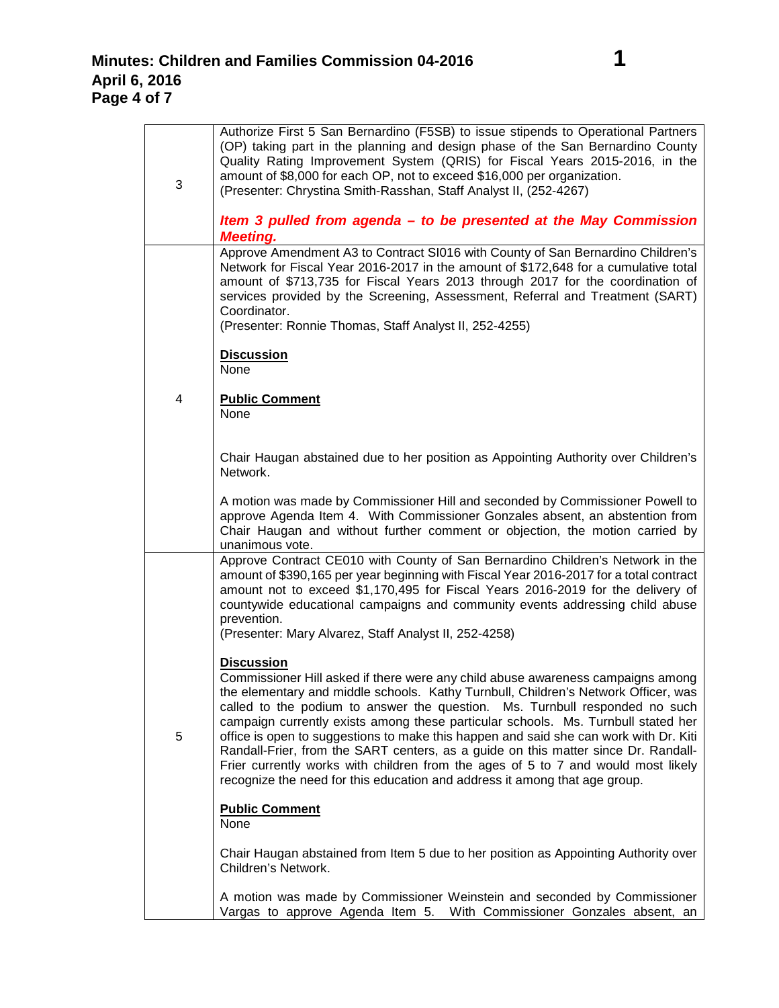| 3 | Authorize First 5 San Bernardino (F5SB) to issue stipends to Operational Partners<br>(OP) taking part in the planning and design phase of the San Bernardino County<br>Quality Rating Improvement System (QRIS) for Fiscal Years 2015-2016, in the<br>amount of \$8,000 for each OP, not to exceed \$16,000 per organization.<br>(Presenter: Chrystina Smith-Rasshan, Staff Analyst II, (252-4267)<br>Item 3 pulled from agenda – to be presented at the May Commission<br><b>Meeting.</b>                                                                                                                                                                                                                       |
|---|------------------------------------------------------------------------------------------------------------------------------------------------------------------------------------------------------------------------------------------------------------------------------------------------------------------------------------------------------------------------------------------------------------------------------------------------------------------------------------------------------------------------------------------------------------------------------------------------------------------------------------------------------------------------------------------------------------------|
|   | Approve Amendment A3 to Contract SI016 with County of San Bernardino Children's<br>Network for Fiscal Year 2016-2017 in the amount of \$172,648 for a cumulative total<br>amount of \$713,735 for Fiscal Years 2013 through 2017 for the coordination of<br>services provided by the Screening, Assessment, Referral and Treatment (SART)<br>Coordinator.<br>(Presenter: Ronnie Thomas, Staff Analyst II, 252-4255)<br><b>Discussion</b>                                                                                                                                                                                                                                                                         |
|   | None                                                                                                                                                                                                                                                                                                                                                                                                                                                                                                                                                                                                                                                                                                             |
| 4 | <b>Public Comment</b><br>None                                                                                                                                                                                                                                                                                                                                                                                                                                                                                                                                                                                                                                                                                    |
|   | Chair Haugan abstained due to her position as Appointing Authority over Children's<br>Network.                                                                                                                                                                                                                                                                                                                                                                                                                                                                                                                                                                                                                   |
|   | A motion was made by Commissioner Hill and seconded by Commissioner Powell to<br>approve Agenda Item 4. With Commissioner Gonzales absent, an abstention from<br>Chair Haugan and without further comment or objection, the motion carried by<br>unanimous vote.                                                                                                                                                                                                                                                                                                                                                                                                                                                 |
|   | Approve Contract CE010 with County of San Bernardino Children's Network in the<br>amount of \$390,165 per year beginning with Fiscal Year 2016-2017 for a total contract<br>amount not to exceed \$1,170,495 for Fiscal Years 2016-2019 for the delivery of<br>countywide educational campaigns and community events addressing child abuse                                                                                                                                                                                                                                                                                                                                                                      |
|   | prevention.<br>(Presenter: Mary Alvarez, Staff Analyst II, 252-4258)                                                                                                                                                                                                                                                                                                                                                                                                                                                                                                                                                                                                                                             |
| 5 | <b>Discussion</b><br>Commissioner Hill asked if there were any child abuse awareness campaigns among<br>the elementary and middle schools. Kathy Turnbull, Children's Network Officer, was<br>called to the podium to answer the question. Ms. Turnbull responded no such<br>campaign currently exists among these particular schools. Ms. Turnbull stated her<br>office is open to suggestions to make this happen and said she can work with Dr. Kiti<br>Randall-Frier, from the SART centers, as a guide on this matter since Dr. Randall-<br>Frier currently works with children from the ages of 5 to 7 and would most likely<br>recognize the need for this education and address it among that age group. |
|   | <b>Public Comment</b><br>None                                                                                                                                                                                                                                                                                                                                                                                                                                                                                                                                                                                                                                                                                    |
|   | Chair Haugan abstained from Item 5 due to her position as Appointing Authority over<br>Children's Network.                                                                                                                                                                                                                                                                                                                                                                                                                                                                                                                                                                                                       |
|   | A motion was made by Commissioner Weinstein and seconded by Commissioner<br>Vargas to approve Agenda Item 5. With Commissioner Gonzales absent, an                                                                                                                                                                                                                                                                                                                                                                                                                                                                                                                                                               |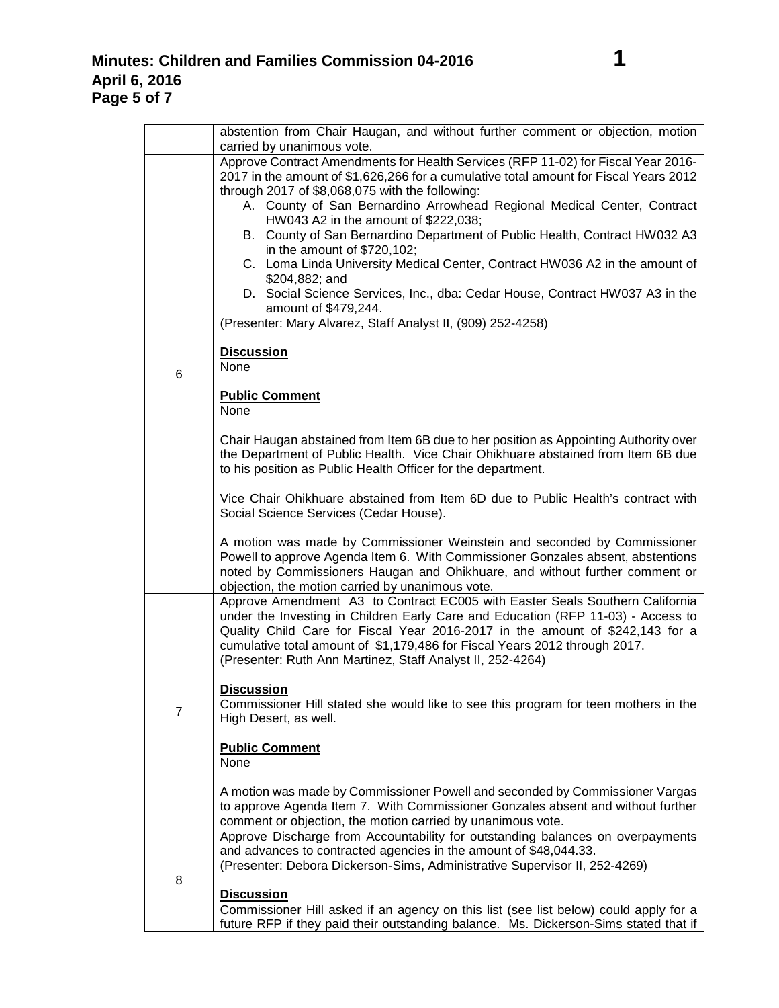|                | abstention from Chair Haugan, and without further comment or objection, motion<br>carried by unanimous vote.                                                                                                                                                                                                                                                                                                                                                                                                                                                                                                                                                                                                                           |
|----------------|----------------------------------------------------------------------------------------------------------------------------------------------------------------------------------------------------------------------------------------------------------------------------------------------------------------------------------------------------------------------------------------------------------------------------------------------------------------------------------------------------------------------------------------------------------------------------------------------------------------------------------------------------------------------------------------------------------------------------------------|
|                | Approve Contract Amendments for Health Services (RFP 11-02) for Fiscal Year 2016-<br>2017 in the amount of \$1,626,266 for a cumulative total amount for Fiscal Years 2012<br>through 2017 of \$8,068,075 with the following:<br>A. County of San Bernardino Arrowhead Regional Medical Center, Contract<br>HW043 A2 in the amount of \$222,038;<br>B. County of San Bernardino Department of Public Health, Contract HW032 A3<br>in the amount of $$720,102;$<br>C. Loma Linda University Medical Center, Contract HW036 A2 in the amount of<br>\$204,882; and<br>D. Social Science Services, Inc., dba: Cedar House, Contract HW037 A3 in the<br>amount of \$479,244.<br>(Presenter: Mary Alvarez, Staff Analyst II, (909) 252-4258) |
| 6              | <b>Discussion</b><br>None                                                                                                                                                                                                                                                                                                                                                                                                                                                                                                                                                                                                                                                                                                              |
|                | <b>Public Comment</b><br>None                                                                                                                                                                                                                                                                                                                                                                                                                                                                                                                                                                                                                                                                                                          |
|                | Chair Haugan abstained from Item 6B due to her position as Appointing Authority over<br>the Department of Public Health. Vice Chair Ohikhuare abstained from Item 6B due<br>to his position as Public Health Officer for the department.                                                                                                                                                                                                                                                                                                                                                                                                                                                                                               |
|                | Vice Chair Ohikhuare abstained from Item 6D due to Public Health's contract with<br>Social Science Services (Cedar House).                                                                                                                                                                                                                                                                                                                                                                                                                                                                                                                                                                                                             |
|                | A motion was made by Commissioner Weinstein and seconded by Commissioner<br>Powell to approve Agenda Item 6. With Commissioner Gonzales absent, abstentions<br>noted by Commissioners Haugan and Ohikhuare, and without further comment or<br>objection, the motion carried by unanimous vote.                                                                                                                                                                                                                                                                                                                                                                                                                                         |
| $\overline{7}$ | Approve Amendment A3 to Contract EC005 with Easter Seals Southern California<br>under the Investing in Children Early Care and Education (RFP 11-03) - Access to<br>Quality Child Care for Fiscal Year 2016-2017 in the amount of \$242,143 for a<br>cumulative total amount of \$1,179,486 for Fiscal Years 2012 through 2017.<br>(Presenter: Ruth Ann Martinez, Staff Analyst II, 252-4264)                                                                                                                                                                                                                                                                                                                                          |
|                | <b>Discussion</b><br>Commissioner Hill stated she would like to see this program for teen mothers in the<br>High Desert, as well.                                                                                                                                                                                                                                                                                                                                                                                                                                                                                                                                                                                                      |
|                | <b>Public Comment</b><br>None                                                                                                                                                                                                                                                                                                                                                                                                                                                                                                                                                                                                                                                                                                          |
|                | A motion was made by Commissioner Powell and seconded by Commissioner Vargas<br>to approve Agenda Item 7. With Commissioner Gonzales absent and without further<br>comment or objection, the motion carried by unanimous vote.                                                                                                                                                                                                                                                                                                                                                                                                                                                                                                         |
| 8              | Approve Discharge from Accountability for outstanding balances on overpayments<br>and advances to contracted agencies in the amount of \$48,044.33.<br>(Presenter: Debora Dickerson-Sims, Administrative Supervisor II, 252-4269)                                                                                                                                                                                                                                                                                                                                                                                                                                                                                                      |
|                | <b>Discussion</b><br>Commissioner Hill asked if an agency on this list (see list below) could apply for a<br>future RFP if they paid their outstanding balance. Ms. Dickerson-Sims stated that if                                                                                                                                                                                                                                                                                                                                                                                                                                                                                                                                      |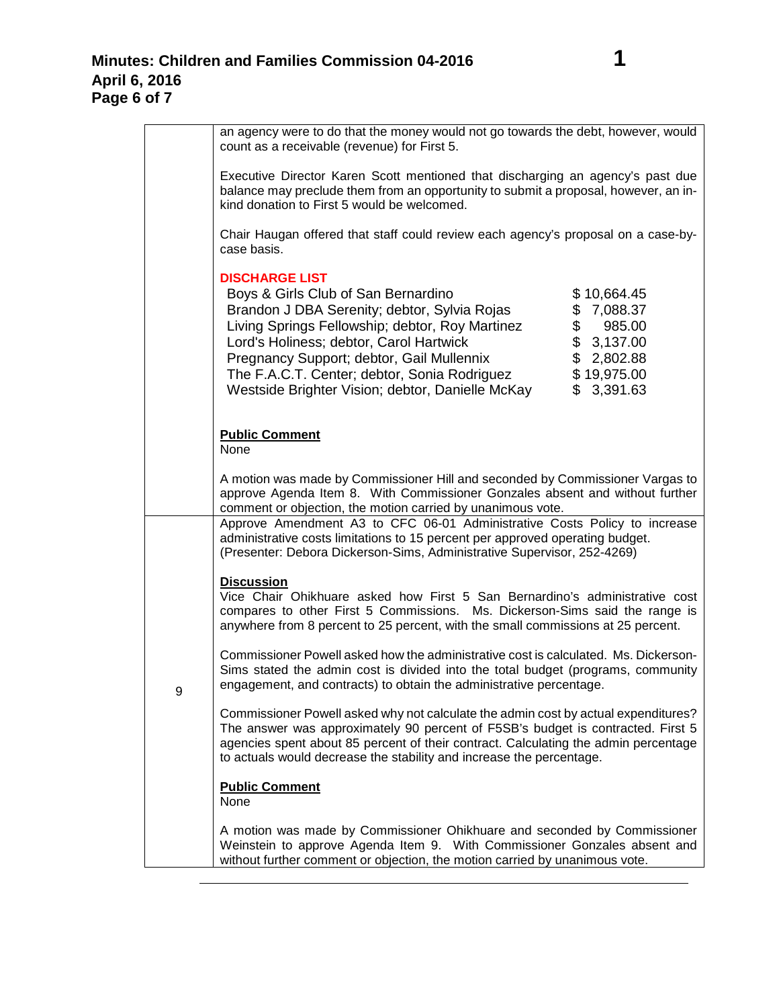|   | an agency were to do that the money would not go towards the debt, however, would<br>count as a receivable (revenue) for First 5.                                                                                                                                                                                                                                                                                                                                 |
|---|-------------------------------------------------------------------------------------------------------------------------------------------------------------------------------------------------------------------------------------------------------------------------------------------------------------------------------------------------------------------------------------------------------------------------------------------------------------------|
|   | Executive Director Karen Scott mentioned that discharging an agency's past due<br>balance may preclude them from an opportunity to submit a proposal, however, an in-<br>kind donation to First 5 would be welcomed.                                                                                                                                                                                                                                              |
|   | Chair Haugan offered that staff could review each agency's proposal on a case-by-<br>case basis.                                                                                                                                                                                                                                                                                                                                                                  |
|   | <b>DISCHARGE LIST</b><br>Boys & Girls Club of San Bernardino<br>\$10,664.45<br>Brandon J DBA Serenity; debtor, Sylvia Rojas<br>\$7,088.37<br>\$<br>Living Springs Fellowship; debtor, Roy Martinez<br>985.00<br>\$3,137.00<br>Lord's Holiness; debtor, Carol Hartwick<br>\$2,802.88<br>Pregnancy Support; debtor, Gail Mullennix<br>\$19,975.00<br>The F.A.C.T. Center; debtor, Sonia Rodriguez<br>Westside Brighter Vision; debtor, Danielle McKay<br>\$3,391.63 |
|   | <b>Public Comment</b><br><b>None</b>                                                                                                                                                                                                                                                                                                                                                                                                                              |
|   | A motion was made by Commissioner Hill and seconded by Commissioner Vargas to<br>approve Agenda Item 8. With Commissioner Gonzales absent and without further<br>comment or objection, the motion carried by unanimous vote.<br>Approve Amendment A3 to CFC 06-01 Administrative Costs Policy to increase<br>administrative costs limitations to 15 percent per approved operating budget.                                                                        |
|   | (Presenter: Debora Dickerson-Sims, Administrative Supervisor, 252-4269)                                                                                                                                                                                                                                                                                                                                                                                           |
|   | <b>Discussion</b><br>Vice Chair Ohikhuare asked how First 5 San Bernardino's administrative cost<br>compares to other First 5 Commissions. Ms. Dickerson-Sims said the range is<br>anywhere from 8 percent to 25 percent, with the small commissions at 25 percent.                                                                                                                                                                                               |
| 9 | Commissioner Powell asked how the administrative cost is calculated. Ms. Dickerson-<br>Sims stated the admin cost is divided into the total budget (programs, community<br>engagement, and contracts) to obtain the administrative percentage.                                                                                                                                                                                                                    |
|   | Commissioner Powell asked why not calculate the admin cost by actual expenditures?<br>The answer was approximately 90 percent of F5SB's budget is contracted. First 5<br>agencies spent about 85 percent of their contract. Calculating the admin percentage<br>to actuals would decrease the stability and increase the percentage.                                                                                                                              |
|   | <b>Public Comment</b><br>None                                                                                                                                                                                                                                                                                                                                                                                                                                     |
|   | A motion was made by Commissioner Ohikhuare and seconded by Commissioner<br>Weinstein to approve Agenda Item 9. With Commissioner Gonzales absent and<br>without further comment or objection, the motion carried by unanimous vote.                                                                                                                                                                                                                              |